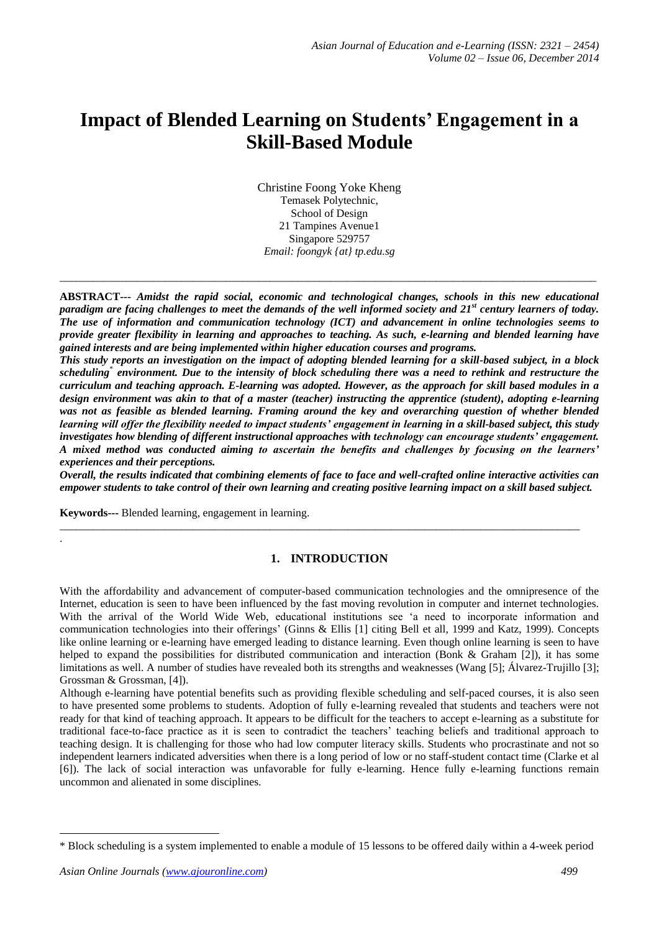# **Impact of Blended Learning on Students' Engagement in a Skill-Based Module**

Christine Foong Yoke Kheng Temasek Polytechnic, School of Design 21 Tampines Avenue1 Singapore 529757 *Email: foongyk {at} tp.edu.sg*

**ABSTRACT---** *Amidst the rapid social, economic and technological changes, schools in this new educational paradigm are facing challenges to meet the demands of the well informed society and 21st century learners of today. The use of information and communication technology (ICT) and advancement in online technologies seems to provide greater flexibility in learning and approaches to teaching. As such, e-learning and blended learning have gained interests and are being implemented within higher education courses and programs.* 

\_\_\_\_\_\_\_\_\_\_\_\_\_\_\_\_\_\_\_\_\_\_\_\_\_\_\_\_\_\_\_\_\_\_\_\_\_\_\_\_\_\_\_\_\_\_\_\_\_\_\_\_\_\_\_\_\_\_\_\_\_\_\_\_\_\_\_\_\_\_\_\_\_\_\_\_\_\_\_\_\_\_\_\_\_\_\_\_\_\_\_\_\_\_\_\_\_

*This study reports an investigation on the impact of adopting blended learning for a skill-based subject, in a block scheduling*\* *environment. Due to the intensity of block scheduling there was a need to rethink and restructure the curriculum and teaching approach. E-learning was adopted. However, as the approach for skill based modules in a design environment was akin to that of a master (teacher) instructing the apprentice (student), adopting e-learning was not as feasible as blended learning. Framing around the key and overarching question of whether blended learning will offer the flexibility needed to impact students' engagement in learning in a skill-based subject, this study investigates how blending of different instructional approaches with technology can encourage students' engagement. A mixed method was conducted aiming to ascertain the benefits and challenges by focusing on the learners' experiences and their perceptions.* 

*Overall, the results indicated that combining elements of face to face and well-crafted online interactive activities can empower students to take control of their own learning and creating positive learning impact on a skill based subject.*

**Keywords---** Blended learning, engagement in learning.

.

1

### **1. INTRODUCTION**

\_\_\_\_\_\_\_\_\_\_\_\_\_\_\_\_\_\_\_\_\_\_\_\_\_\_\_\_\_\_\_\_\_\_\_\_\_\_\_\_\_\_\_\_\_\_\_\_\_\_\_\_\_\_\_\_\_\_\_\_\_\_\_\_\_\_\_\_\_\_\_\_\_\_\_\_\_\_\_\_\_\_\_\_\_\_\_\_\_\_\_\_\_\_

With the affordability and advancement of computer-based communication technologies and the omnipresence of the Internet, education is seen to have been influenced by the fast moving revolution in computer and internet technologies. With the arrival of the World Wide Web, educational institutions see 'a need to incorporate information and communication technologies into their offerings' (Ginns & Ellis [1] citing Bell et all, 1999 and Katz, 1999). Concepts like online learning or e-learning have emerged leading to distance learning. Even though online learning is seen to have helped to expand the possibilities for distributed communication and interaction (Bonk & Graham [2]), it has some limitations as well. A number of studies have revealed both its strengths and weaknesses (Wang [5]; Álvarez-Trujillo [3]; Grossman & Grossman, [4]).

Although e-learning have potential benefits such as providing flexible scheduling and self-paced courses, it is also seen to have presented some problems to students. Adoption of fully e-learning revealed that students and teachers were not ready for that kind of teaching approach. It appears to be difficult for the teachers to accept e-learning as a substitute for traditional face-to-face practice as it is seen to contradict the teachers' teaching beliefs and traditional approach to teaching design. It is challenging for those who had low computer literacy skills. Students who procrastinate and not so independent learners indicated adversities when there is a long period of low or no staff-student contact time (Clarke et al [6]). The lack of social interaction was unfavorable for fully e-learning. Hence fully e-learning functions remain uncommon and alienated in some disciplines.

<sup>\*</sup> Block scheduling is a system implemented to enable a module of 15 lessons to be offered daily within a 4-week period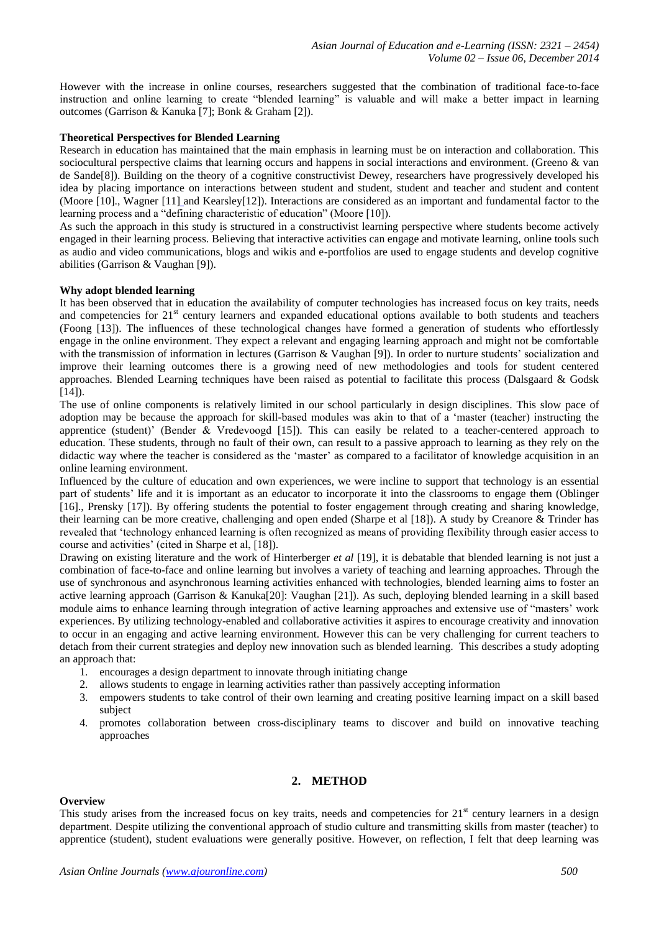However with the increase in online courses, researchers suggested that the combination of traditional face-to-face instruction and online learning to create "blended learning" is valuable and will make a better impact in learning outcomes (Garrison & Kanuka [7]; Bonk & Graham [2]).

### **Theoretical Perspectives for Blended Learning**

Research in education has maintained that the main emphasis in learning must be on interaction and collaboration. This sociocultural perspective claims that learning occurs and happens in social interactions and environment. (Greeno & van de Sande[8]). Building on the theory of a cognitive constructivist Dewey, researchers have progressively developed his idea by placing importance on interactions between student and student, student and teacher and student and content (Moore [10]., Wagner [11] and Kearsley[12]). Interactions are considered as an important and fundamental factor to the learning process and a "defining characteristic of education" (Moore [10]).

As such the approach in this study is structured in a constructivist learning perspective where students become actively engaged in their learning process. Believing that interactive activities can engage and motivate learning, online tools such as audio and video communications, blogs and wikis and e-portfolios are used to engage students and develop cognitive abilities (Garrison & Vaughan [9]).

### **Why adopt blended learning**

It has been observed that in education the availability of computer technologies has increased focus on key traits, needs and competencies for 21<sup>st</sup> century learners and expanded educational options available to both students and teachers (Foong [13]). The influences of these technological changes have formed a generation of students who effortlessly engage in the online environment. They expect a relevant and engaging learning approach and might not be comfortable with the transmission of information in lectures (Garrison & Vaughan [9]). In order to nurture students' socialization and improve their learning outcomes there is a growing need of new methodologies and tools for student centered approaches. Blended Learning techniques have been raised as potential to facilitate this process (Dalsgaard & Godsk  $[14]$ ).

The use of online components is relatively limited in our school particularly in design disciplines. This slow pace of adoption may be because the approach for skill-based modules was akin to that of a 'master (teacher) instructing the apprentice (student)' (Bender & Vredevoogd [15]). This can easily be related to a teacher-centered approach to education. These students, through no fault of their own, can result to a passive approach to learning as they rely on the didactic way where the teacher is considered as the 'master' as compared to a facilitator of knowledge acquisition in an online learning environment.

Influenced by the culture of education and own experiences, we were incline to support that technology is an essential part of students' life and it is important as an educator to incorporate it into the classrooms to engage them (Oblinger [16]., Prensky [17]). By offering students the potential to foster engagement through creating and sharing knowledge, their learning can be more creative, challenging and open ended (Sharpe et al [18]). A study by Creanore & Trinder has revealed that 'technology enhanced learning is often recognized as means of providing flexibility through easier access to course and activities' (cited in Sharpe et al, [18]).

Drawing on existing literature and the work of Hinterberger *et al* [19], it is debatable that blended learning is not just a combination of face-to-face and online learning but involves a variety of teaching and learning approaches. Through the use of synchronous and asynchronous learning activities enhanced with technologies, blended learning aims to foster an active learning approach (Garrison & Kanuka[20]: Vaughan [21]). As such, deploying blended learning in a skill based module aims to enhance learning through integration of active learning approaches and extensive use of "masters' work experiences. By utilizing technology-enabled and collaborative activities it aspires to encourage creativity and innovation to occur in an engaging and active learning environment. However this can be very challenging for current teachers to detach from their current strategies and deploy new innovation such as blended learning. This describes a study adopting an approach that:

- 1. encourages a design department to innovate through initiating change
- 2. allows students to engage in learning activities rather than passively accepting information
- 3. empowers students to take control of their own learning and creating positive learning impact on a skill based subject
- 4. promotes collaboration between cross-disciplinary teams to discover and build on innovative teaching approaches

### **2. METHOD**

#### **Overview**

This study arises from the increased focus on key traits, needs and competencies for  $21<sup>st</sup>$  century learners in a design department. Despite utilizing the conventional approach of studio culture and transmitting skills from master (teacher) to apprentice (student), student evaluations were generally positive. However, on reflection, I felt that deep learning was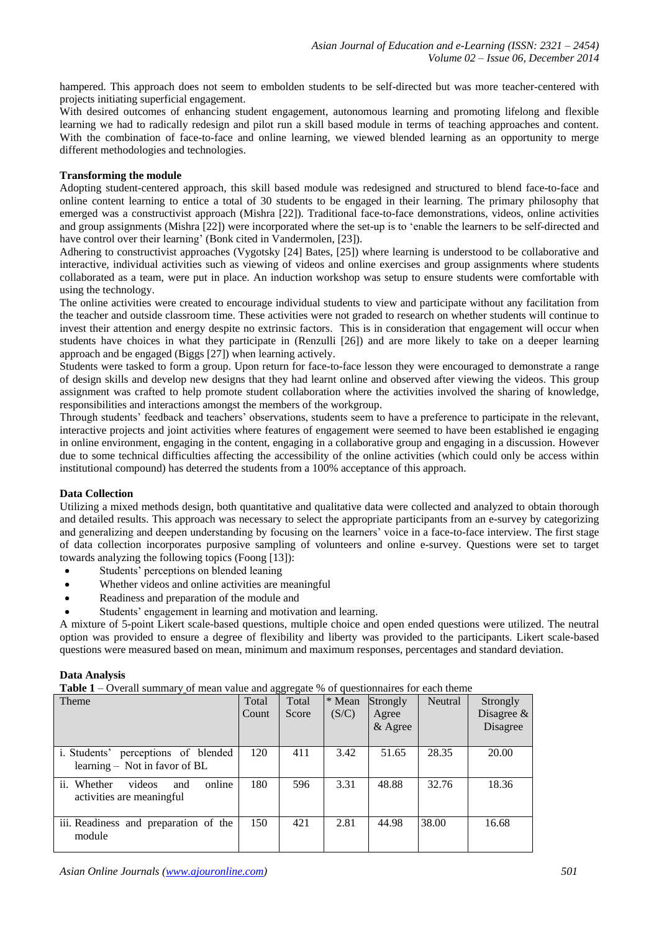hampered. This approach does not seem to embolden students to be self-directed but was more teacher-centered with projects initiating superficial engagement.

With desired outcomes of enhancing student engagement, autonomous learning and promoting lifelong and flexible learning we had to radically redesign and pilot run a skill based module in terms of teaching approaches and content. With the combination of face-to-face and online learning, we viewed blended learning as an opportunity to merge different methodologies and technologies.

## **Transforming the module**

Adopting student-centered approach, this skill based module was redesigned and structured to blend face-to-face and online content learning to entice a total of 30 students to be engaged in their learning. The primary philosophy that emerged was a constructivist approach (Mishra [22]). Traditional face-to-face demonstrations, videos, online activities and group assignments (Mishra [22]) were incorporated where the set-up is to 'enable the learners to be self-directed and have control over their learning' (Bonk cited in Vandermolen, [23]).

Adhering to constructivist approaches (Vygotsky [24] Bates, [25]) where learning is understood to be collaborative and interactive, individual activities such as viewing of videos and online exercises and group assignments where students collaborated as a team, were put in place. An induction workshop was setup to ensure students were comfortable with using the technology.

The online activities were created to encourage individual students to view and participate without any facilitation from the teacher and outside classroom time. These activities were not graded to research on whether students will continue to invest their attention and energy despite no extrinsic factors. This is in consideration that engagement will occur when students have choices in what they participate in (Renzulli [26]) and are more likely to take on a deeper learning approach and be engaged (Biggs [27]) when learning actively.

Students were tasked to form a group. Upon return for face-to-face lesson they were encouraged to demonstrate a range of design skills and develop new designs that they had learnt online and observed after viewing the videos. This group assignment was crafted to help promote student collaboration where the activities involved the sharing of knowledge, responsibilities and interactions amongst the members of the workgroup.

Through students' feedback and teachers' observations, students seem to have a preference to participate in the relevant, interactive projects and joint activities where features of engagement were seemed to have been established ie engaging in online environment, engaging in the content, engaging in a collaborative group and engaging in a discussion. However due to some technical difficulties affecting the accessibility of the online activities (which could only be access within institutional compound) has deterred the students from a 100% acceptance of this approach.

### **Data Collection**

Utilizing a mixed methods design, both quantitative and qualitative data were collected and analyzed to obtain thorough and detailed results. This approach was necessary to select the appropriate participants from an e-survey by categorizing and generalizing and deepen understanding by focusing on the learners' voice in a face-to-face interview. The first stage of data collection incorporates purposive sampling of volunteers and online e-survey. Questions were set to target towards analyzing the following topics (Foong [13]):

- Students' perceptions on blended leaning
- Whether videos and online activities are meaningful
- Readiness and preparation of the module and
- Students' engagement in learning and motivation and learning.

A mixture of 5-point Likert scale-based questions, multiple choice and open ended questions were utilized. The neutral option was provided to ensure a degree of flexibility and liberty was provided to the participants. Likert scale-based questions were measured based on mean, minimum and maximum responses, percentages and standard deviation.

### **Data Analysis**

**Table 1** – Overall summary of mean value and aggregate % of questionnaires for each theme

| <b>Theme</b>                                                         | Total<br>Count | Total<br>Score | * Mean<br>(S/C) | Strongly<br>Agree<br>& Agree | Neutral | Strongly<br>Disagree $\&$<br>Disagree |
|----------------------------------------------------------------------|----------------|----------------|-----------------|------------------------------|---------|---------------------------------------|
| i. Students' perceptions of blended<br>learning – Not in favor of BL | 120            | 411            | 3.42            | 51.65                        | 28.35   | 20.00                                 |
| ii. Whether<br>videos<br>online<br>and<br>activities are meaningful  | 180            | 596            | 3.31            | 48.88                        | 32.76   | 18.36                                 |
| iii. Readiness and preparation of the<br>module                      | 150            | 421            | 2.81            | 44.98                        | 38.00   | 16.68                                 |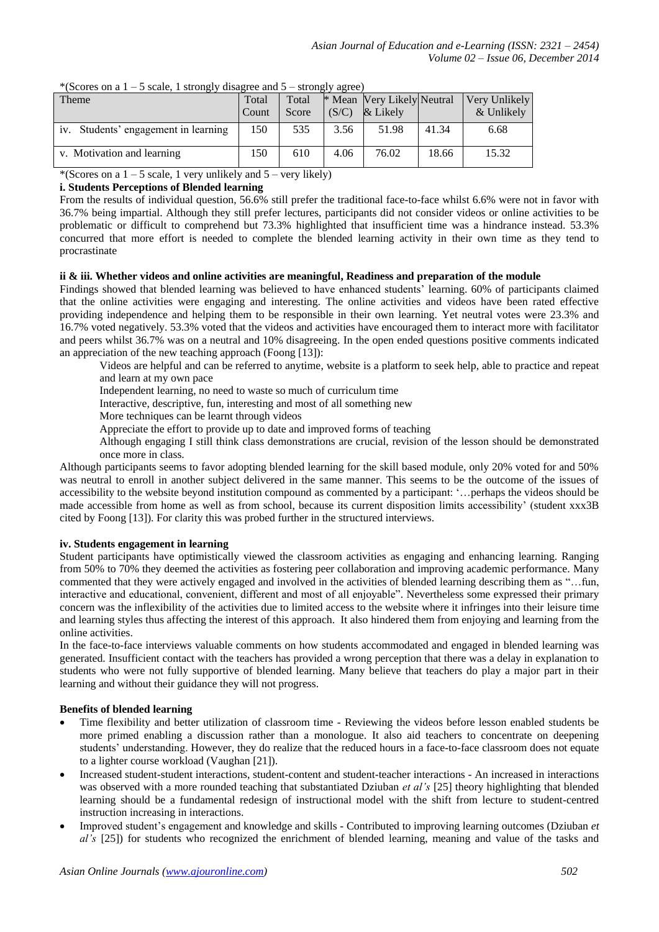| $\epsilon$ bears, a barongler, and $\epsilon$ |       |       |       |                            |       |               |  |  |  |
|-----------------------------------------------|-------|-------|-------|----------------------------|-------|---------------|--|--|--|
| Theme                                         | Total | Total |       | * Mean Very Likely Neutral |       | Very Unlikely |  |  |  |
|                                               | Count | Score | (S/C) | & Likely                   |       | & Unlikely    |  |  |  |
| iv. Students' engagement in learning          | 150   | 535   | 3.56  | 51.98                      | 41.34 | 6.68          |  |  |  |
| v. Motivation and learning                    | 150   | 610   | 4.06  | 76.02                      | 18.66 | 15.32         |  |  |  |

\*(Scores on a  $1 - 5$  scale, 1 strongly disagree and  $5 -$  strongly agree)

# \*(Scores on a  $1 - 5$  scale, 1 very unlikely and  $5 -$  very likely)

# **i. Students Perceptions of Blended learning**

From the results of individual question, 56.6% still prefer the traditional face-to-face whilst 6.6% were not in favor with 36.7% being impartial. Although they still prefer lectures, participants did not consider videos or online activities to be problematic or difficult to comprehend but 73.3% highlighted that insufficient time was a hindrance instead. 53.3% concurred that more effort is needed to complete the blended learning activity in their own time as they tend to procrastinate

### **ii & iii. Whether videos and online activities are meaningful, Readiness and preparation of the module**

Findings showed that blended learning was believed to have enhanced students' learning. 60% of participants claimed that the online activities were engaging and interesting. The online activities and videos have been rated effective providing independence and helping them to be responsible in their own learning. Yet neutral votes were 23.3% and 16.7% voted negatively. 53.3% voted that the videos and activities have encouraged them to interact more with facilitator and peers whilst 36.7% was on a neutral and 10% disagreeing. In the open ended questions positive comments indicated an appreciation of the new teaching approach (Foong [13]):

Videos are helpful and can be referred to anytime, website is a platform to seek help, able to practice and repeat and learn at my own pace

Independent learning, no need to waste so much of curriculum time

Interactive, descriptive, fun, interesting and most of all something new

More techniques can be learnt through videos

Appreciate the effort to provide up to date and improved forms of teaching

Although engaging I still think class demonstrations are crucial, revision of the lesson should be demonstrated once more in class.

Although participants seems to favor adopting blended learning for the skill based module, only 20% voted for and 50% was neutral to enroll in another subject delivered in the same manner. This seems to be the outcome of the issues of accessibility to the website beyond institution compound as commented by a participant: '…perhaps the videos should be made accessible from home as well as from school, because its current disposition limits accessibility' (student xxx3B cited by Foong [13]). For clarity this was probed further in the structured interviews.

### **iv. Students engagement in learning**

Student participants have optimistically viewed the classroom activities as engaging and enhancing learning. Ranging from 50% to 70% they deemed the activities as fostering peer collaboration and improving academic performance. Many commented that they were actively engaged and involved in the activities of blended learning describing them as "…fun, interactive and educational, convenient, different and most of all enjoyable". Nevertheless some expressed their primary concern was the inflexibility of the activities due to limited access to the website where it infringes into their leisure time and learning styles thus affecting the interest of this approach. It also hindered them from enjoying and learning from the online activities.

In the face-to-face interviews valuable comments on how students accommodated and engaged in blended learning was generated. Insufficient contact with the teachers has provided a wrong perception that there was a delay in explanation to students who were not fully supportive of blended learning. Many believe that teachers do play a major part in their learning and without their guidance they will not progress.

# **Benefits of blended learning**

- Time flexibility and better utilization of classroom time Reviewing the videos before lesson enabled students be more primed enabling a discussion rather than a monologue. It also aid teachers to concentrate on deepening students' understanding. However, they do realize that the reduced hours in a face-to-face classroom does not equate to a lighter course workload (Vaughan [21]).
- Increased student-student interactions, student-content and student-teacher interactions An increased in interactions was observed with a more rounded teaching that substantiated Dziuban *et al's* [25] theory highlighting that blended learning should be a fundamental redesign of instructional model with the shift from lecture to student-centred instruction increasing in interactions.
- Improved student's engagement and knowledge and skills Contributed to improving learning outcomes (Dziuban *et al's* [25]) for students who recognized the enrichment of blended learning, meaning and value of the tasks and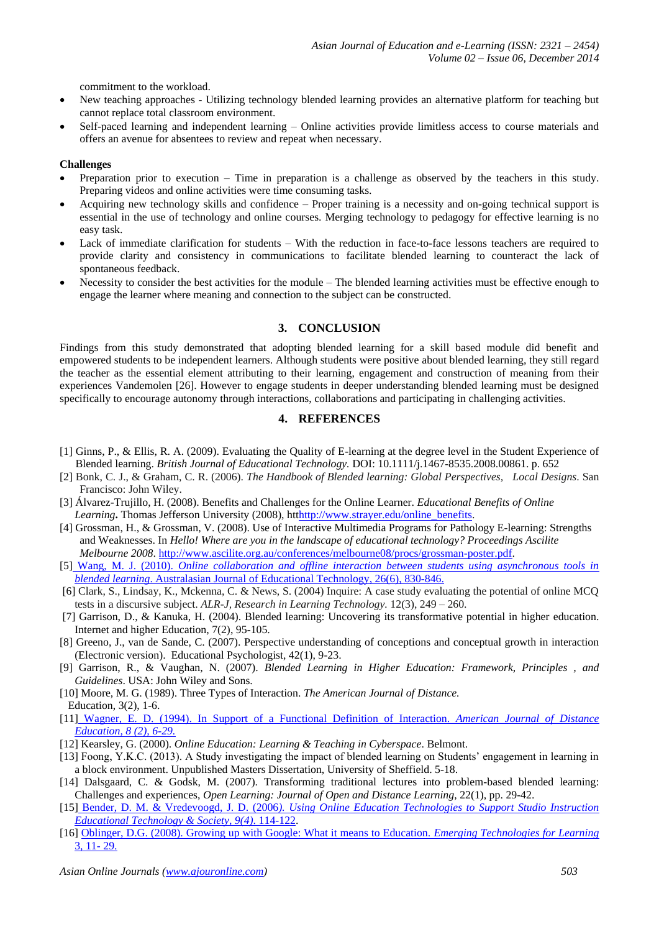commitment to the workload.

- New teaching approaches Utilizing technology blended learning provides an alternative platform for teaching but cannot replace total classroom environment.
- Self-paced learning and independent learning Online activities provide limitless access to course materials and offers an avenue for absentees to review and repeat when necessary.

### **Challenges**

- Preparation prior to execution Time in preparation is a challenge as observed by the teachers in this study. Preparing videos and online activities were time consuming tasks.
- Acquiring new technology skills and confidence Proper training is a necessity and on-going technical support is essential in the use of technology and online courses. Merging technology to pedagogy for effective learning is no easy task.
- Lack of immediate clarification for students With the reduction in face-to-face lessons teachers are required to provide clarity and consistency in communications to facilitate blended learning to counteract the lack of spontaneous feedback.
- Necessity to consider the best activities for the module The blended learning activities must be effective enough to engage the learner where meaning and connection to the subject can be constructed.

# **3. CONCLUSION**

Findings from this study demonstrated that adopting blended learning for a skill based module did benefit and empowered students to be independent learners. Although students were positive about blended learning, they still regard the teacher as the essential element attributing to their learning, engagement and construction of meaning from their experiences Vandemolen [26]. However to engage students in deeper understanding blended learning must be designed specifically to encourage autonomy through interactions, collaborations and participating in challenging activities.

# **4. REFERENCES**

- [1] Ginns, P., & Ellis, R. A. (2009). Evaluating the Quality of E-learning at the degree level in the Student Experience of Blended learning. *British Journal of Educational Technology.* DOI: 10.1111/j.1467-8535.2008.00861. p. 652
- [2] Bonk, C. J., & Graham, C. R. (2006). *The Handbook of Blended learning: Global Perspectives, Local Designs*. San Francisco: John Wiley.
- [3] Álvarez-Trujillo, H. (2008). Benefits and Challenges for the Online Learner. *Educational Benefits of Online*  Learning<sub>**.**</sub> Thomas Jefferson University (2008), ht[thttp://www.strayer.edu/online\\_benefits.](http://www.strayer.edu/online_benefits)
- [4] Grossman, H., & Grossman, V. (2008). Use of Interactive Multimedia Programs for Pathology E-learning: Strengths and Weaknesses. In *Hello! Where are you in the landscape of educational technology? Proceedings Ascilite Melbourne 2008*. [http://www.ascilite.org.au/conferences/melbourne08/procs/grossman-poster.pdf.](http://www.ascilite.org.au/conferences/melbourne08/procs/grossman-poster.pdf)
- [5] Wang, M. J. (2010). *Online collaboration and offline interaction between students using asynchronous tools in blended learning*. Australasian Journal of Educational Technology, 26(6), 830-846.
- [6] Clark, S., Lindsay, K., Mckenna, C. & News, S. (2004) Inquire: A case study evaluating the potential of online MCQ tests in a discursive subject. *ALR-J, Research in Learning Technology.* 12(3), 249 – 260.
- [7] Garrison, D., & Kanuka, H. (2004). Blended learning: Uncovering its transformative potential in higher education. Internet and higher Education, 7(2), 95-105.
- [8] Greeno, J., van de Sande, C. (2007). Perspective understanding of conceptions and conceptual growth in interaction (Electronic version). Educational Psychologist, 42(1), 9-23.
- [9] Garrison, R., & Vaughan, N. (2007). *Blended Learning in Higher Education: Framework, Principles , and Guidelines*. USA: John Wiley and Sons.
- [10] Moore, M. G. (1989). Three Types of Interaction. *The American Journal of Distance.* Education, 3(2), 1-6.
- [11] Wagner, E. D. (1994). In Support of a Functional Definition of Interaction. *American Journal of Distance Education, 8 (2), 6-29.*
- [12] Kearsley, G. (2000). *Online Education: Learning & Teaching in Cyberspace*. Belmont.
- [13] Foong, Y.K.C. (2013). A Study investigating the impact of blended learning on Students' engagement in learning in a block environment. Unpublished Masters Dissertation, University of Sheffield. 5-18.
- [14] Dalsgaard, C. & Godsk, M. (2007). Transforming traditional lectures into problem-based blended learning: Challenges and experiences, *Open Learning: Journal of Open and Distance Learning,* 22(1), pp. 29-42.
- [15] Bender, D. M. & Vredevoogd, J. D. (2006*). Using Online Education Technologies to Support Studio Instruction Educational Technology & Society, 9(4)*. 114-122.
- [16] Oblinger, D.G. (2008). Growing up with Google: What it means to Education. *Emerging Technologies for Learning* 3, 11- 29.